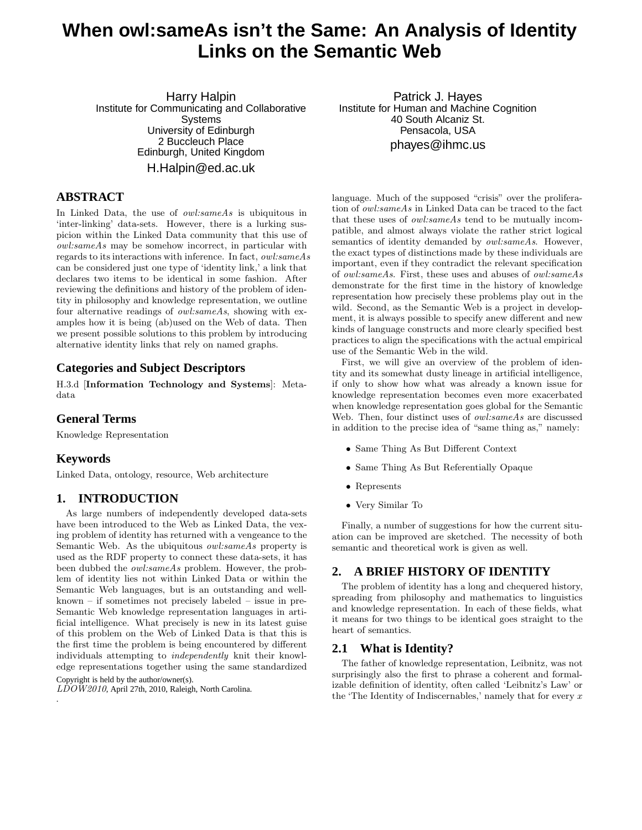# **When owl:sameAs isn't the Same: An Analysis of Identity Links on the Semantic Web**

Harry Halpin Institute for Communicating and Collaborative Systems University of Edinburgh 2 Buccleuch Place Edinburgh, United Kingdom H.Halpin@ed.ac.uk

# **ABSTRACT**

In Linked Data, the use of *owl:sameAs* is ubiquitous in 'inter-linking' data-sets. However, there is a lurking suspicion within the Linked Data community that this use of owl:sameAs may be somehow incorrect, in particular with regards to its interactions with inference. In fact, owl:sameAs can be considered just one type of 'identity link,' a link that declares two items to be identical in some fashion. After reviewing the definitions and history of the problem of identity in philosophy and knowledge representation, we outline four alternative readings of owl:sameAs, showing with examples how it is being (ab)used on the Web of data. Then we present possible solutions to this problem by introducing alternative identity links that rely on named graphs.

# **Categories and Subject Descriptors**

H.3.d [Information Technology and Systems]: Metadata

# **General Terms**

Knowledge Representation

# **Keywords**

Linked Data, ontology, resource, Web architecture

# **1. INTRODUCTION**

As large numbers of independently developed data-sets have been introduced to the Web as Linked Data, the vexing problem of identity has returned with a vengeance to the Semantic Web. As the ubiquitous *owl:sameAs* property is used as the RDF property to connect these data-sets, it has been dubbed the owl:sameAs problem. However, the problem of identity lies not within Linked Data or within the Semantic Web languages, but is an outstanding and wellknown – if sometimes not precisely labeled – issue in pre-Semantic Web knowledge representation languages in artificial intelligence. What precisely is new in its latest guise of this problem on the Web of Linked Data is that this is the first time the problem is being encountered by different individuals attempting to independently knit their knowledge representations together using the same standardized

Copyright is held by the author/owner(s).

.

LDOW2010, April 27th, 2010, Raleigh, North Carolina.

Patrick J. Hayes Institute for Human and Machine Cognition 40 South Alcaniz St. Pensacola, USA phayes@ihmc.us

language. Much of the supposed "crisis" over the proliferation of owl:sameAs in Linked Data can be traced to the fact that these uses of owl:sameAs tend to be mutually incompatible, and almost always violate the rather strict logical semantics of identity demanded by *owl:sameAs*. However, the exact types of distinctions made by these individuals are important, even if they contradict the relevant specification of owl:sameAs. First, these uses and abuses of owl:sameAs demonstrate for the first time in the history of knowledge representation how precisely these problems play out in the wild. Second, as the Semantic Web is a project in development, it is always possible to specify anew different and new kinds of language constructs and more clearly specified best practices to align the specifications with the actual empirical use of the Semantic Web in the wild.

First, we will give an overview of the problem of identity and its somewhat dusty lineage in artificial intelligence, if only to show how what was already a known issue for knowledge representation becomes even more exacerbated when knowledge representation goes global for the Semantic Web. Then, four distinct uses of *owl:sameAs* are discussed in addition to the precise idea of "same thing as," namely:

- Same Thing As But Different Context
- Same Thing As But Referentially Opaque
- Represents
- Very Similar To

Finally, a number of suggestions for how the current situation can be improved are sketched. The necessity of both semantic and theoretical work is given as well.

# **2. A BRIEF HISTORY OF IDENTITY**

The problem of identity has a long and chequered history, spreading from philosophy and mathematics to linguistics and knowledge representation. In each of these fields, what it means for two things to be identical goes straight to the heart of semantics.

#### **2.1 What is Identity?**

The father of knowledge representation, Leibnitz, was not surprisingly also the first to phrase a coherent and formalizable definition of identity, often called 'Leibnitz's Law' or the 'The Identity of Indiscernables,' namely that for every  $x$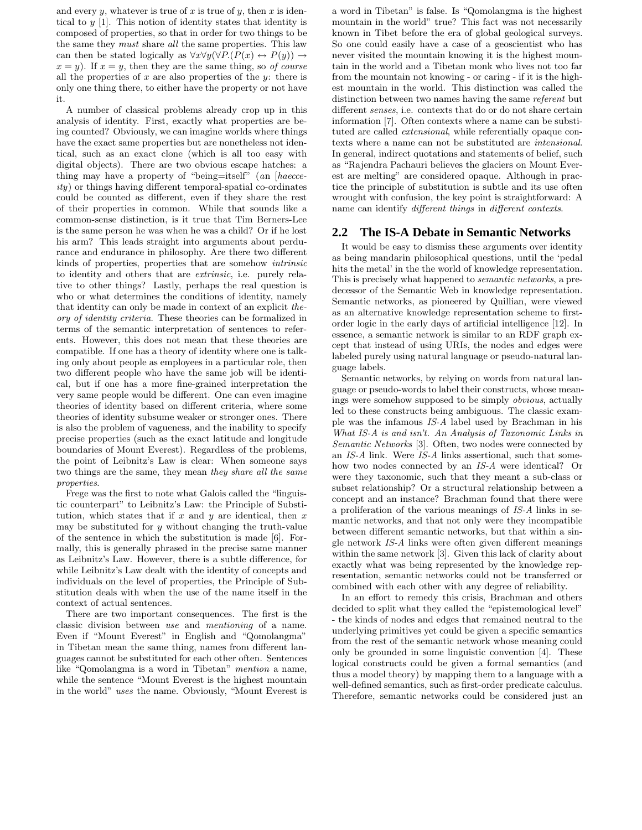and every  $y$ , whatever is true of  $x$  is true of  $y$ , then  $x$  is identical to  $y$  [1]. This notion of identity states that identity is composed of properties, so that in order for two things to be the same they must share all the same properties. This law can then be stated logically as  $\forall x \forall y (\forall P.(P(x) \leftrightarrow P(y))) \rightarrow$  $x = y$ . If  $x = y$ , then they are the same thing, so of course all the properties of x are also properties of the y: there is only one thing there, to either have the property or not have it.

A number of classical problems already crop up in this analysis of identity. First, exactly what properties are being counted? Obviously, we can imagine worlds where things have the exact same properties but are nonetheless not identical, such as an exact clone (which is all too easy with digital objects). There are two obvious escape hatches: a thing may have a property of "being=itself" (an [haecce $ity)$  or things having different temporal-spatial co-ordinates could be counted as different, even if they share the rest of their properties in common. While that sounds like a common-sense distinction, is it true that Tim Berners-Lee is the same person he was when he was a child? Or if he lost his arm? This leads straight into arguments about perdurance and endurance in philosophy. Are there two different kinds of properties, properties that are somehow intrinsic to identity and others that are extrinsic, i.e. purely relative to other things? Lastly, perhaps the real question is who or what determines the conditions of identity, namely that identity can only be made in context of an explicit theory of identity criteria. These theories can be formalized in terms of the semantic interpretation of sentences to referents. However, this does not mean that these theories are compatible. If one has a theory of identity where one is talking only about people as employees in a particular role, then two different people who have the same job will be identical, but if one has a more fine-grained interpretation the very same people would be different. One can even imagine theories of identity based on different criteria, where some theories of identity subsume weaker or stronger ones. There is also the problem of vagueness, and the inability to specify precise properties (such as the exact latitude and longitude boundaries of Mount Everest). Regardless of the problems, the point of Leibnitz's Law is clear: When someone says two things are the same, they mean they share all the same properties.

Frege was the first to note what Galois called the "linguistic counterpart" to Leibnitz's Law: the Principle of Substitution, which states that if  $x$  and  $y$  are identical, then  $x$ may be substituted for  $y$  without changing the truth-value of the sentence in which the substitution is made [6]. Formally, this is generally phrased in the precise same manner as Leibnitz's Law. However, there is a subtle difference, for while Leibnitz's Law dealt with the identity of concepts and individuals on the level of properties, the Principle of Substitution deals with when the use of the name itself in the context of actual sentences.

There are two important consequences. The first is the classic division between use and mentioning of a name. Even if "Mount Everest" in English and "Qomolangma" in Tibetan mean the same thing, names from different languages cannot be substituted for each other often. Sentences like "Qomolangma is a word in Tibetan" mention a name, while the sentence "Mount Everest is the highest mountain in the world" uses the name. Obviously, "Mount Everest is

a word in Tibetan" is false. Is "Qomolangma is the highest mountain in the world" true? This fact was not necessarily known in Tibet before the era of global geological surveys. So one could easily have a case of a geoscientist who has never visited the mountain knowing it is the highest mountain in the world and a Tibetan monk who lives not too far from the mountain not knowing - or caring - if it is the highest mountain in the world. This distinction was called the distinction between two names having the same referent but different senses, i.e. contexts that do or do not share certain information [7]. Often contexts where a name can be substituted are called extensional, while referentially opaque contexts where a name can not be substituted are intensional. In general, indirect quotations and statements of belief, such as "Rajendra Pachauri believes the glaciers on Mount Everest are melting" are considered opaque. Although in practice the principle of substitution is subtle and its use often wrought with confusion, the key point is straightforward: A name can identify different things in different contexts.

# **2.2 The IS-A Debate in Semantic Networks**

It would be easy to dismiss these arguments over identity as being mandarin philosophical questions, until the 'pedal hits the metal' in the the world of knowledge representation. This is precisely what happened to semantic networks, a predecessor of the Semantic Web in knowledge representation. Semantic networks, as pioneered by Quillian, were viewed as an alternative knowledge representation scheme to firstorder logic in the early days of artificial intelligence [12]. In essence, a semantic network is similar to an RDF graph except that instead of using URIs, the nodes and edges were labeled purely using natural language or pseudo-natural language labels.

Semantic networks, by relying on words from natural language or pseudo-words to label their constructs, whose meanings were somehow supposed to be simply obvious, actually led to these constructs being ambiguous. The classic example was the infamous IS-A label used by Brachman in his What IS-A is and isn't. An Analysis of Taxonomic Links in Semantic Networks [3]. Often, two nodes were connected by an IS-A link. Were IS-A links assertional, such that somehow two nodes connected by an IS-A were identical? Or were they taxonomic, such that they meant a sub-class or subset relationship? Or a structural relationship between a concept and an instance? Brachman found that there were a proliferation of the various meanings of IS-A links in semantic networks, and that not only were they incompatible between different semantic networks, but that within a single network IS-A links were often given different meanings within the same network [3]. Given this lack of clarity about exactly what was being represented by the knowledge representation, semantic networks could not be transferred or combined with each other with any degree of reliability.

In an effort to remedy this crisis, Brachman and others decided to split what they called the "epistemological level" - the kinds of nodes and edges that remained neutral to the underlying primitives yet could be given a specific semantics from the rest of the semantic network whose meaning could only be grounded in some linguistic convention [4]. These logical constructs could be given a formal semantics (and thus a model theory) by mapping them to a language with a well-defined semantics, such as first-order predicate calculus. Therefore, semantic networks could be considered just an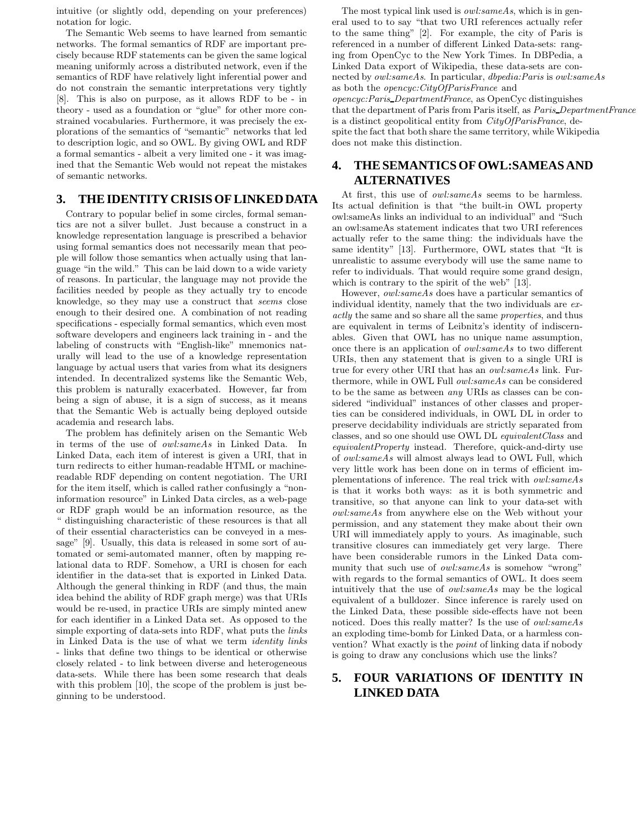intuitive (or slightly odd, depending on your preferences) notation for logic.

The Semantic Web seems to have learned from semantic networks. The formal semantics of RDF are important precisely because RDF statements can be given the same logical meaning uniformly across a distributed network, even if the semantics of RDF have relatively light inferential power and do not constrain the semantic interpretations very tightly [8]. This is also on purpose, as it allows RDF to be - in theory - used as a foundation or "glue" for other more constrained vocabularies. Furthermore, it was precisely the explorations of the semantics of "semantic" networks that led to description logic, and so OWL. By giving OWL and RDF a formal semantics - albeit a very limited one - it was imagined that the Semantic Web would not repeat the mistakes of semantic networks.

# **3. THE IDENTITY CRISIS OF LINKED DATA**

Contrary to popular belief in some circles, formal semantics are not a silver bullet. Just because a construct in a knowledge representation language is prescribed a behavior using formal semantics does not necessarily mean that people will follow those semantics when actually using that language "in the wild." This can be laid down to a wide variety of reasons. In particular, the language may not provide the facilities needed by people as they actually try to encode knowledge, so they may use a construct that seems close enough to their desired one. A combination of not reading specifications - especially formal semantics, which even most software developers and engineers lack training in - and the labeling of constructs with "English-like" mnemonics naturally will lead to the use of a knowledge representation language by actual users that varies from what its designers intended. In decentralized systems like the Semantic Web, this problem is naturally exacerbated. However, far from being a sign of abuse, it is a sign of success, as it means that the Semantic Web is actually being deployed outside academia and research labs.

The problem has definitely arisen on the Semantic Web in terms of the use of owl:sameAs in Linked Data. In Linked Data, each item of interest is given a URI, that in turn redirects to either human-readable HTML or machinereadable RDF depending on content negotiation. The URI for the item itself, which is called rather confusingly a "noninformation resource" in Linked Data circles, as a web-page or RDF graph would be an information resource, as the " distinguishing characteristic of these resources is that all of their essential characteristics can be conveyed in a message" [9]. Usually, this data is released in some sort of automated or semi-automated manner, often by mapping relational data to RDF. Somehow, a URI is chosen for each identifier in the data-set that is exported in Linked Data. Although the general thinking in RDF (and thus, the main idea behind the ability of RDF graph merge) was that URIs would be re-used, in practice URIs are simply minted anew for each identifier in a Linked Data set. As opposed to the simple exporting of data-sets into RDF, what puts the links in Linked Data is the use of what we term identity links - links that define two things to be identical or otherwise closely related - to link between diverse and heterogeneous data-sets. While there has been some research that deals with this problem [10], the scope of the problem is just beginning to be understood.

The most typical link used is *owl:sameAs*, which is in general used to to say "that two URI references actually refer to the same thing" [2]. For example, the city of Paris is referenced in a number of different Linked Data-sets: ranging from OpenCyc to the New York Times. In DBPedia, a Linked Data export of Wikipedia, these data-sets are connected by owl:sameAs. In particular, dbpedia:Paris is owl:sameAs as both the opencyc:CityOfParisFrance and opencyc:Paris DepartmentFrance, as OpenCyc distinguishes that the department of Paris from Paris itself, as Paris DepartmentFrance is a distinct geopolitical entity from CityOfParisFrance, despite the fact that both share the same territory, while Wikipedia does not make this distinction.

# **4. THE SEMANTICS OF OWL:SAMEAS AND ALTERNATIVES**

At first, this use of owl:sameAs seems to be harmless. Its actual definition is that "the built-in OWL property owl:sameAs links an individual to an individual" and "Such an owl:sameAs statement indicates that two URI references actually refer to the same thing: the individuals have the same identity" [13]. Furthermore, OWL states that "It is unrealistic to assume everybody will use the same name to refer to individuals. That would require some grand design, which is contrary to the spirit of the web" [13].

However, owl:sameAs does have a particular semantics of individual identity, namely that the two individuals are exactly the same and so share all the same properties, and thus are equivalent in terms of Leibnitz's identity of indiscernables. Given that OWL has no unique name assumption, once there is an application of owl:sameAs to two different URIs, then any statement that is given to a single URI is true for every other URI that has an owl:sameAs link. Furthermore, while in OWL Full owl:sameAs can be considered to be the same as between any URIs as classes can be considered "individual" instances of other classes and properties can be considered individuals, in OWL DL in order to preserve decidability individuals are strictly separated from classes, and so one should use OWL DL equivalentClass and equivalentProperty instead. Therefore, quick-and-dirty use of owl:sameAs will almost always lead to OWL Full, which very little work has been done on in terms of efficient implementations of inference. The real trick with owl:sameAs is that it works both ways: as it is both symmetric and transitive, so that anyone can link to your data-set with owl:sameAs from anywhere else on the Web without your permission, and any statement they make about their own URI will immediately apply to yours. As imaginable, such transitive closures can immediately get very large. There have been considerable rumors in the Linked Data community that such use of *owl:sameAs* is somehow "wrong" with regards to the formal semantics of OWL. It does seem intuitively that the use of owl:sameAs may be the logical equivalent of a bulldozer. Since inference is rarely used on the Linked Data, these possible side-effects have not been noticed. Does this really matter? Is the use of owl:sameAs an exploding time-bomb for Linked Data, or a harmless convention? What exactly is the point of linking data if nobody is going to draw any conclusions which use the links?

# **5. FOUR VARIATIONS OF IDENTITY IN LINKED DATA**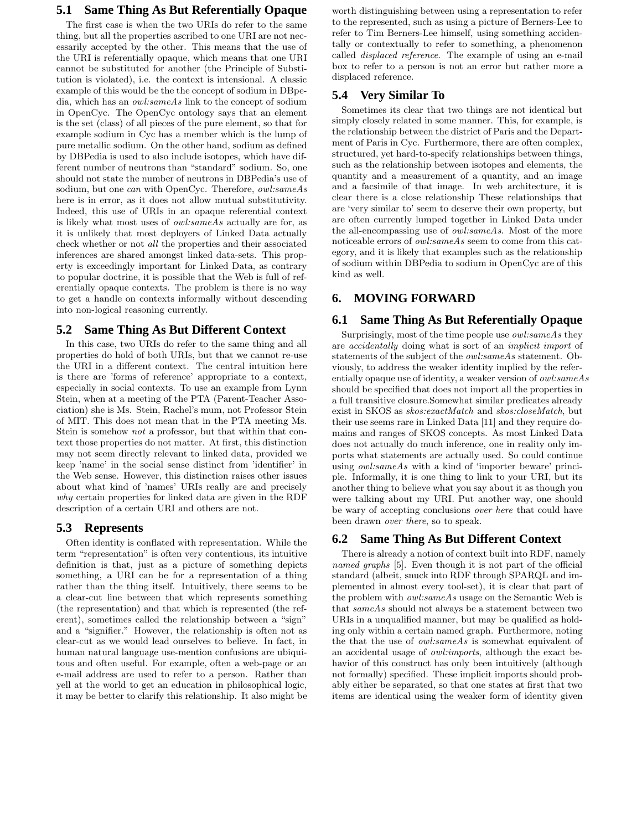# **5.1 Same Thing As But Referentially Opaque**

The first case is when the two URIs do refer to the same thing, but all the properties ascribed to one URI are not necessarily accepted by the other. This means that the use of the URI is referentially opaque, which means that one URI cannot be substituted for another (the Principle of Substitution is violated), i.e. the context is intensional. A classic example of this would be the the concept of sodium in DBpedia, which has an owl:sameAs link to the concept of sodium in OpenCyc. The OpenCyc ontology says that an element is the set (class) of all pieces of the pure element, so that for example sodium in Cyc has a member which is the lump of pure metallic sodium. On the other hand, sodium as defined by DBPedia is used to also include isotopes, which have different number of neutrons than "standard" sodium. So, one should not state the number of neutrons in DBPedia's use of sodium, but one can with OpenCyc. Therefore, owl:sameAs here is in error, as it does not allow mutual substitutivity. Indeed, this use of URIs in an opaque referential context is likely what most uses of owl:sameAs actually are for, as it is unlikely that most deployers of Linked Data actually check whether or not all the properties and their associated inferences are shared amongst linked data-sets. This property is exceedingly important for Linked Data, as contrary to popular doctrine, it is possible that the Web is full of referentially opaque contexts. The problem is there is no way to get a handle on contexts informally without descending into non-logical reasoning currently.

# **5.2 Same Thing As But Different Context**

In this case, two URIs do refer to the same thing and all properties do hold of both URIs, but that we cannot re-use the URI in a different context. The central intuition here is there are 'forms of reference' appropriate to a context, especially in social contexts. To use an example from Lynn Stein, when at a meeting of the PTA (Parent-Teacher Association) she is Ms. Stein, Rachel's mum, not Professor Stein of MIT. This does not mean that in the PTA meeting Ms. Stein is somehow *not* a professor, but that within that context those properties do not matter. At first, this distinction may not seem directly relevant to linked data, provided we keep 'name' in the social sense distinct from 'identifier' in the Web sense. However, this distinction raises other issues about what kind of 'names' URIs really are and precisely why certain properties for linked data are given in the RDF description of a certain URI and others are not.

#### **5.3 Represents**

Often identity is conflated with representation. While the term "representation" is often very contentious, its intuitive definition is that, just as a picture of something depicts something, a URI can be for a representation of a thing rather than the thing itself. Intuitively, there seems to be a clear-cut line between that which represents something (the representation) and that which is represented (the referent), sometimes called the relationship between a "sign" and a "signifier." However, the relationship is often not as clear-cut as we would lead ourselves to believe. In fact, in human natural language use-mention confusions are ubiquitous and often useful. For example, often a web-page or an e-mail address are used to refer to a person. Rather than yell at the world to get an education in philosophical logic, it may be better to clarify this relationship. It also might be

worth distinguishing between using a representation to refer to the represented, such as using a picture of Berners-Lee to refer to Tim Berners-Lee himself, using something accidentally or contextually to refer to something, a phenomenon called displaced reference. The example of using an e-mail box to refer to a person is not an error but rather more a displaced reference.

# **5.4 Very Similar To**

Sometimes its clear that two things are not identical but simply closely related in some manner. This, for example, is the relationship between the district of Paris and the Department of Paris in Cyc. Furthermore, there are often complex, structured, yet hard-to-specify relationships between things, such as the relationship between isotopes and elements, the quantity and a measurement of a quantity, and an image and a facsimile of that image. In web architecture, it is clear there is a close relationship These relationships that are 'very similar to' seem to deserve their own property, but are often currently lumped together in Linked Data under the all-encompassing use of owl:sameAs. Most of the more noticeable errors of owl:sameAs seem to come from this category, and it is likely that examples such as the relationship of sodium within DBPedia to sodium in OpenCyc are of this kind as well.

# **6. MOVING FORWARD**

# **6.1 Same Thing As But Referentially Opaque**

Surprisingly, most of the time people use owl:sameAs they are accidentally doing what is sort of an implicit import of statements of the subject of the owl:sameAs statement. Obviously, to address the weaker identity implied by the referentially opaque use of identity, a weaker version of owl:sameAs should be specified that does not import all the properties in a full transitive closure.Somewhat similar predicates already exist in SKOS as skos:exactMatch and skos:closeMatch, but their use seems rare in Linked Data [11] and they require domains and ranges of SKOS concepts. As most Linked Data does not actually do much inference, one in reality only imports what statements are actually used. So could continue using owl:sameAs with a kind of 'importer beware' principle. Informally, it is one thing to link to your URI, but its another thing to believe what you say about it as though you were talking about my URI. Put another way, one should be wary of accepting conclusions over here that could have been drawn over there, so to speak.

#### **6.2 Same Thing As But Different Context**

There is already a notion of context built into RDF, namely named graphs [5]. Even though it is not part of the official standard (albeit, snuck into RDF through SPARQL and implemented in almost every tool-set), it is clear that part of the problem with owl:sameAs usage on the Semantic Web is that sameAs should not always be a statement between two URIs in a unqualified manner, but may be qualified as holding only within a certain named graph. Furthermore, noting the that the use of owl:sameAs is somewhat equivalent of an accidental usage of owl:imports, although the exact behavior of this construct has only been intuitively (although not formally) specified. These implicit imports should probably either be separated, so that one states at first that two items are identical using the weaker form of identity given